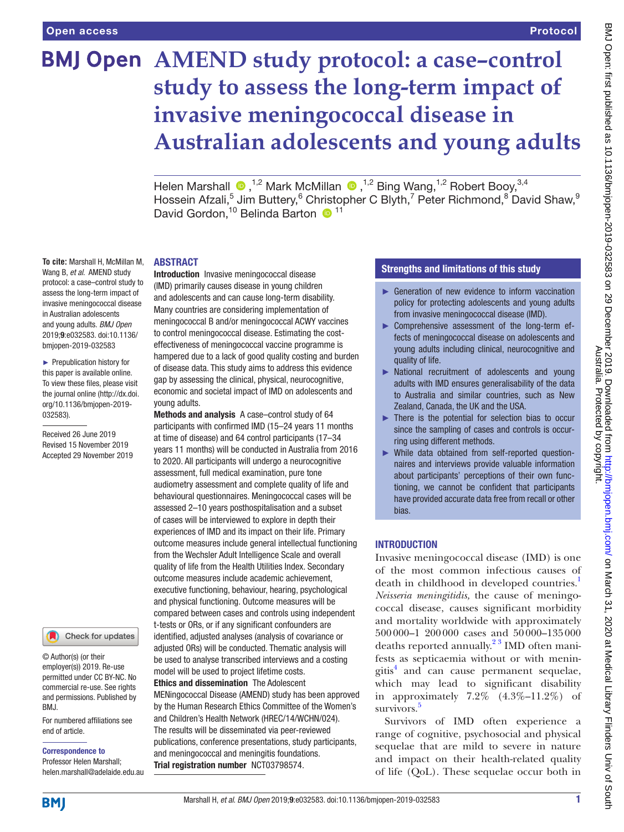# **BMJ Open** AMEND study protocol: a case-control **study to assess the long-term impact of invasive meningococcal disease in Australian adolescents and young adults**

HelenMarshall  $\bullet$ ,<sup>1,2</sup> Mark McMillan  $\bullet$ ,<sup>1,2</sup> Bing Wang,<sup>1,2</sup> Robert Booy,<sup>3,4</sup> Hossein Afzali,<sup>5</sup> Jim Buttery,<sup>6</sup> Christopher C Blyth,<sup>7</sup> Peter Richmond,<sup>8</sup> David Shaw,<sup>9</sup> David Gordon.<sup>10</sup> Belinda Barton <sup>11</sup>

#### **ABSTRACT**

Wang B, *et al*. AMEND study protocol: a case–control study to assess the long-term impact of invasive meningococcal disease in Australian adolescents and young adults. *BMJ Open* 2019;9:e032583. doi:10.1136/ bmjopen-2019-032583 ► Prepublication history for this paper is available online. To view these files, please visit the journal online (http://dx.doi. Introduction Invasive meningococcal disease

org/10.1136/bmjopen-2019 young adults.

Received 26 June 2019 Revised 15 November 2019 Accepted 29 November 2019

032583).

**To cite:** Marshall H, McMillan M,



© Author(s) (or their employer(s)) 2019. Re-use permitted under CC BY-NC. No commercial re-use. See rights and permissions. Published by BMJ.

For numbered affiliations see end of article.

Correspondence to Professor Helen Marshall; helen.marshall@adelaide.edu.au (IMD) primarily causes disease in young children and adolescents and can cause long-term disability. Many countries are considering implementation of meningococcal B and/or meningococcal ACWY vaccines to control meningococcal disease. Estimating the costeffectiveness of meningococcal vaccine programme is hampered due to a lack of good quality costing and burden of disease data. This study aims to address this evidence gap by assessing the clinical, physical, neurocognitive, economic and societal impact of IMD on adolescents and

Methods and analysis A case–control study of 64 participants with confirmed IMD (15–24 years 11 months at time of disease) and 64 control participants (17–34 years 11 months) will be conducted in Australia from 2016 to 2020. All participants will undergo a neurocognitive assessment, full medical examination, pure tone audiometry assessment and complete quality of life and behavioural questionnaires. Meningococcal cases will be assessed 2–10 years posthospitalisation and a subset of cases will be interviewed to explore in depth their experiences of IMD and its impact on their life. Primary outcome measures include general intellectual functioning from the Wechsler Adult Intelligence Scale and overall quality of life from the Health Utilities Index. Secondary outcome measures include academic achievement, executive functioning, behaviour, hearing, psychological and physical functioning. Outcome measures will be compared between cases and controls using independent t-tests or ORs, or if any significant confounders are identified, adjusted analyses (analysis of covariance or adjusted ORs) will be conducted. Thematic analysis will be used to analyse transcribed interviews and a costing model will be used to project lifetime costs.

Ethics and dissemination The Adolescent MENingococcal Disease (AMEND) study has been approved by the Human Research Ethics Committee of the Women's and Children's Health Network (HREC/14/WCHN/024). The results will be disseminated via peer-reviewed publications, conference presentations, study participants, and meningococcal and meningitis foundations. Trial registration number <NCT03798574>.

## Strengths and limitations of this study

- ► Generation of new evidence to inform vaccination policy for protecting adolescents and young adults from invasive meningococcal disease (IMD).
- ► Comprehensive assessment of the long-term effects of meningococcal disease on adolescents and young adults including clinical, neurocognitive and quality of life.
- ► National recruitment of adolescents and young adults with IMD ensures generalisability of the data to Australia and similar countries, such as New Zealand, Canada, the UK and the USA.
- ► There is the potential for selection bias to occur since the sampling of cases and controls is occurring using different methods.
- ► While data obtained from self-reported questionnaires and interviews provide valuable information about participants' perceptions of their own functioning, we cannot be confident that participants have provided accurate data free from recall or other bias.

## **INTRODUCTION**

Invasive meningococcal disease (IMD) is one of the most common infectious causes of death in childhood in developed countries.<sup>1</sup> *Neisseria meningitidis,* the cause of meningococcal disease, causes significant morbidity and mortality worldwide with approximately 500000–1 200000 cases and 50000–135000 deaths reported annually. $2<sup>3</sup>$  IMD often manifests as septicaemia without or with meningitis[4](#page-8-2) and can cause permanent sequelae, which may lead to significant disability in approximately 7.2% (4.3%–11.2%) of survivors.<sup>[5](#page-8-3)</sup>

Survivors of IMD often experience a range of cognitive, psychosocial and physical sequelae that are mild to severe in nature and impact on their health-related quality of life (QoL). These sequelae occur both in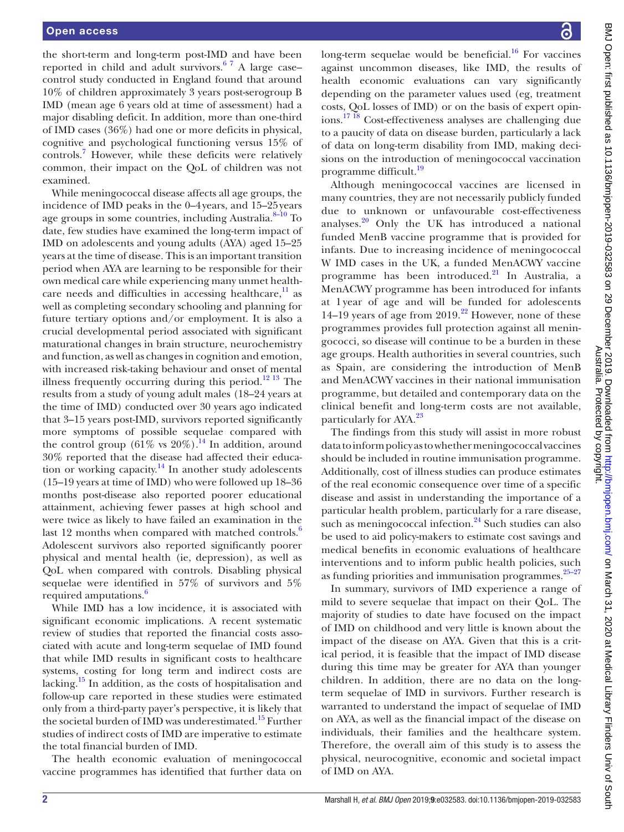the short-term and long-term post-IMD and have been reported in child and adult survivors.<sup>6 7</sup> A large case– control study conducted in England found that around 10% of children approximately 3 years post-serogroup B IMD (mean age 6 years old at time of assessment) had a major disabling deficit. In addition, more than one-third of IMD cases (36%) had one or more deficits in physical, cognitive and psychological functioning versus 15% of controls.[7](#page-8-5) However, while these deficits were relatively common, their impact on the QoL of children was not examined.

While meningococcal disease affects all age groups, the incidence of IMD peaks in the 0–4years, and 15–25years age groups in some countries, including Australia.<sup>8-10</sup> To date, few studies have examined the long-term impact of IMD on adolescents and young adults (AYA) aged 15–25 years at the time of disease. This is an important transition period when AYA are learning to be responsible for their own medical care while experiencing many unmet healthcare needs and difficulties in accessing healthcare, $11$  as well as completing secondary schooling and planning for future tertiary options and/or employment. It is also a crucial developmental period associated with significant maturational changes in brain structure, neurochemistry and function, as well as changes in cognition and emotion, with increased risk-taking behaviour and onset of mental illness frequently occurring during this period.<sup>12 13</sup> The results from a study of young adult males (18–24 years at the time of IMD) conducted over 30 years ago indicated that 3–15 years post-IMD, survivors reported significantly more symptoms of possible sequelae compared with the control group (61% vs  $20\%$ ).<sup>14</sup> In addition, around 30% reported that the disease had affected their educa-tion or working capacity.<sup>[14](#page-8-9)</sup> In another study adolescents (15–19 years at time of IMD) who were followed up 18–36 months post-disease also reported poorer educational attainment, achieving fewer passes at high school and were twice as likely to have failed an examination in the last 12 months when compared with matched controls.<sup>[6](#page-8-4)</sup> Adolescent survivors also reported significantly poorer physical and mental health (ie, depression), as well as QoL when compared with controls. Disabling physical sequelae were identified in 57% of survivors and 5% required amputations.<sup>[6](#page-8-4)</sup>

While IMD has a low incidence, it is associated with significant economic implications. A recent systematic review of studies that reported the financial costs associated with acute and long-term sequelae of IMD found that while IMD results in significant costs to healthcare systems, costing for long term and indirect costs are lacking.<sup>15</sup> In addition, as the costs of hospitalisation and follow-up care reported in these studies were estimated only from a third-party payer's perspective, it is likely that the societal burden of IMD was underestimated.<sup>15</sup> Further studies of indirect costs of IMD are imperative to estimate the total financial burden of IMD.

The health economic evaluation of meningococcal vaccine programmes has identified that further data on

BMJ Open: first published as 10.1136/bmjopen-2019-032583 on 29 December 2019. Downloaded from http://bmjopen.bmj.com/ on March 31, 2020 at Medical Library Flinders Univ of South<br>Australis BMJ Open: first published as 10.1136/bmjopen-2019-032583 on 29 December 2019. Downloaded from <http://bmjopen.bmj.com/> on March 31, 2020 at Medical Library Flinders Univ of South Australia. Protected by copyright.

long-term sequelae would be beneficial.<sup>16</sup> For vaccines against uncommon diseases, like IMD, the results of health economic evaluations can vary significantly depending on the parameter values used (eg, treatment costs, QoL losses of IMD) or on the basis of expert opinions.<sup>17 18</sup> Cost-effectiveness analyses are challenging due to a paucity of data on disease burden, particularly a lack of data on long-term disability from IMD, making decisions on the introduction of meningococcal vaccination programme difficult.<sup>[19](#page-8-13)</sup>

Although meningococcal vaccines are licensed in many countries, they are not necessarily publicly funded due to unknown or unfavourable cost-effectiveness analyses. $20$  Only the UK has introduced a national funded MenB vaccine programme that is provided for infants. Due to increasing incidence of meningococcal W IMD cases in the UK, a funded MenACWY vaccine programme has been introduced.<sup>21</sup> In Australia, a MenACWY programme has been introduced for infants at 1 year of age and will be funded for adolescents 14–19 years of age from  $2019<sup>22</sup>$  However, none of these programmes provides full protection against all meningococci, so disease will continue to be a burden in these age groups. Health authorities in several countries, such as Spain, are considering the introduction of MenB and MenACWY vaccines in their national immunisation programme, but detailed and contemporary data on the clinical benefit and long-term costs are not available, particularly for AYA.<sup>[23](#page-8-17)</sup>

The findings from this study will assist in more robust data to inform policy as to whether meningococcal vaccines should be included in routine immunisation programme. Additionally, cost of illness studies can produce estimates of the real economic consequence over time of a specific disease and assist in understanding the importance of a particular health problem, particularly for a rare disease, such as meningococcal infection. $^{24}$  Such studies can also be used to aid policy-makers to estimate cost savings and medical benefits in economic evaluations of healthcare interventions and to inform public health policies, such as funding priorities and immunisation programmes.<sup>25-27</sup>

In summary, survivors of IMD experience a range of mild to severe sequelae that impact on their QoL. The majority of studies to date have focused on the impact of IMD on childhood and very little is known about the impact of the disease on AYA. Given that this is a critical period, it is feasible that the impact of IMD disease during this time may be greater for AYA than younger children. In addition, there are no data on the longterm sequelae of IMD in survivors. Further research is warranted to understand the impact of sequelae of IMD on AYA, as well as the financial impact of the disease on individuals, their families and the healthcare system. Therefore, the overall aim of this study is to assess the physical, neurocognitive, economic and societal impact of IMD on AYA.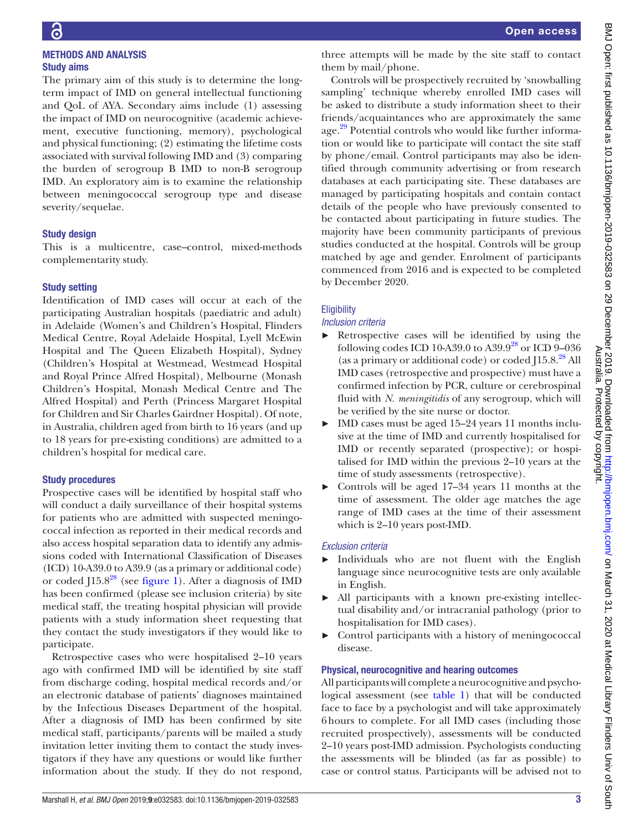## Methods and analysis Study aims

The primary aim of this study is to determine the longterm impact of IMD on general intellectual functioning and QoL of AYA. Secondary aims include (1) assessing the impact of IMD on neurocognitive (academic achievement, executive functioning, memory), psychological and physical functioning; (2) estimating the lifetime costs associated with survival following IMD and (3) comparing the burden of serogroup B IMD to non-B serogroup IMD. An exploratory aim is to examine the relationship between meningococcal serogroup type and disease severity/sequelae.

## Study design

This is a multicentre, case–control, mixed-methods complementarity study.

## Study setting

Identification of IMD cases will occur at each of the participating Australian hospitals (paediatric and adult) in Adelaide (Women's and Children's Hospital, Flinders Medical Centre, Royal Adelaide Hospital, Lyell McEwin Hospital and The Queen Elizabeth Hospital), Sydney (Children's Hospital at Westmead, Westmead Hospital and Royal Prince Alfred Hospital), Melbourne (Monash Children's Hospital, Monash Medical Centre and The Alfred Hospital) and Perth (Princess Margaret Hospital for Children and Sir Charles Gairdner Hospital). Of note, in Australia, children aged from birth to 16 years (and up to 18 years for pre-existing conditions) are admitted to a children's hospital for medical care.

## Study procedures

Prospective cases will be identified by hospital staff who will conduct a daily surveillance of their hospital systems for patients who are admitted with suspected meningococcal infection as reported in their medical records and also access hospital separation data to identify any admissions coded with International Classification of Diseases (ICD) 10-A39.0 to A39.9 (as a primary or additional code) or coded  $[15.8<sup>28</sup>$  (see [figure](#page-3-0) 1). After a diagnosis of IMD has been confirmed (please see inclusion criteria) by site medical staff, the treating hospital physician will provide patients with a study information sheet requesting that they contact the study investigators if they would like to participate.

Retrospective cases who were hospitalised 2–10 years ago with confirmed IMD will be identified by site staff from discharge coding, hospital medical records and/or an electronic database of patients' diagnoses maintained by the Infectious Diseases Department of the hospital. After a diagnosis of IMD has been confirmed by site medical staff, participants/parents will be mailed a study invitation letter inviting them to contact the study investigators if they have any questions or would like further information about the study. If they do not respond,

three attempts will be made by the site staff to contact them by mail/phone.

Controls will be prospectively recruited by 'snowballing sampling' technique whereby enrolled IMD cases will be asked to distribute a study information sheet to their friends/acquaintances who are approximately the same age.<sup>29</sup> Potential controls who would like further information or would like to participate will contact the site staff by phone/email. Control participants may also be identified through community advertising or from research databases at each participating site. These databases are managed by participating hospitals and contain contact details of the people who have previously consented to be contacted about participating in future studies. The majority have been community participants of previous studies conducted at the hospital. Controls will be group matched by age and gender. Enrolment of participants commenced from 2016 and is expected to be completed by December 2020.

## **Eligibility**

## *Inclusion criteria*

- ► Retrospective cases will be identified by using the following codes ICD 10-A39.0 to A39.9 $^{28}$  or ICD 9-036 (as a primary or additional code) or coded  $[15.8<sup>28</sup>$  All IMD cases (retrospective and prospective) must have a confirmed infection by PCR, culture or cerebrospinal fluid with *N. meningitidis* of any serogroup, which will be verified by the site nurse or doctor.
- IMD cases must be aged 15–24 years 11 months inclusive at the time of IMD and currently hospitalised for IMD or recently separated (prospective); or hospitalised for IMD within the previous 2–10 years at the time of study assessments (retrospective).
- ► Controls will be aged 17–34 years 11 months at the time of assessment. The older age matches the age range of IMD cases at the time of their assessment which is 2–10 years post-IMD.

## *Exclusion criteria*

- ► Individuals who are not fluent with the English language since neurocognitive tests are only available in English.
- ► All participants with a known pre-existing intellectual disability and/or intracranial pathology (prior to hospitalisation for IMD cases).
- ► Control participants with a history of meningococcal disease.

## Physical, neurocognitive and hearing outcomes

All participants will complete a neurocognitive and psychological assessment (see [table](#page-4-0) 1) that will be conducted face to face by a psychologist and will take approximately 6hours to complete. For all IMD cases (including those recruited prospectively), assessments will be conducted 2–10 years post-IMD admission. Psychologists conducting the assessments will be blinded (as far as possible) to case or control status. Participants will be advised not to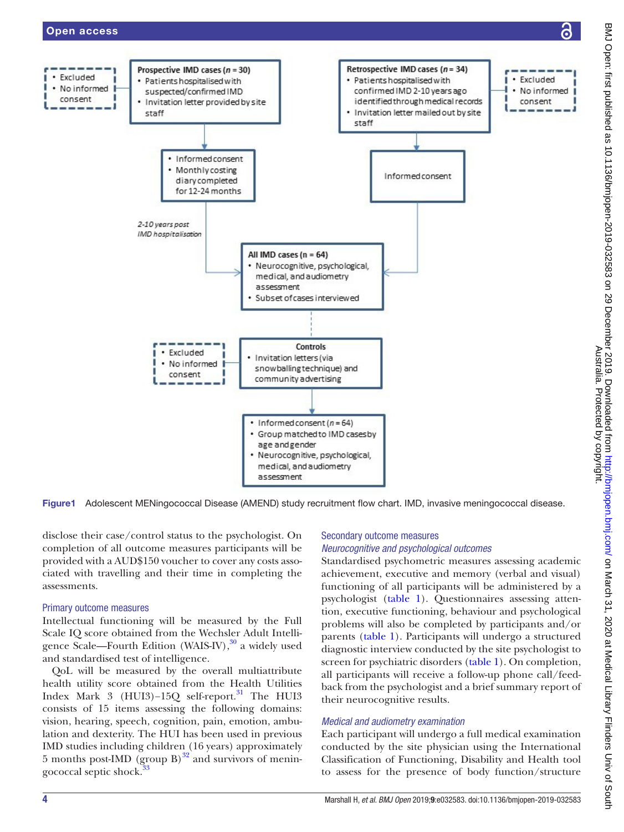



<span id="page-3-0"></span>Figure1 Adolescent MENingococcal Disease (AMEND) study recruitment flow chart. IMD, invasive meningococcal disease.

disclose their case/control status to the psychologist. On completion of all outcome measures participants will be provided with a AUD\$150 voucher to cover any costs associated with travelling and their time in completing the assessments.

## Primary outcome measures

Intellectual functioning will be measured by the Full Scale IQ score obtained from the Wechsler Adult Intelligence Scale—Fourth Edition (WAIS-IV), $30$  a widely used and standardised test of intelligence.

QoL will be measured by the overall multiattribute health utility score obtained from the Health Utilities Index Mark 3 (HUI3)−15Q self-report.<sup>[31](#page-8-23)</sup> The HUI3 consists of 15 items assessing the following domains: vision, hearing, speech, cognition, pain, emotion, ambulation and dexterity. The HUI has been used in previous IMD studies including children (16 years) approximately 5 months post-IMD (group B) $^{32}$  and survivors of meningococcal septic shock.

## Secondary outcome measures *Neurocognitive and psychological outcomes*

Standardised psychometric measures assessing academic achievement, executive and memory (verbal and visual) functioning of all participants will be administered by a psychologist ([table](#page-4-0) 1). Questionnaires assessing attention, executive functioning, behaviour and psychological problems will also be completed by participants and/or parents [\(table](#page-4-0) 1). Participants will undergo a structured diagnostic interview conducted by the site psychologist to screen for psychiatric disorders ([table](#page-4-0) 1). On completion, all participants will receive a follow-up phone call/feedback from the psychologist and a brief summary report of their neurocognitive results.

## *Medical and audiometry examination*

Each participant will undergo a full medical examination conducted by the site physician using the International Classification of Functioning, Disability and Health tool to assess for the presence of body function/structure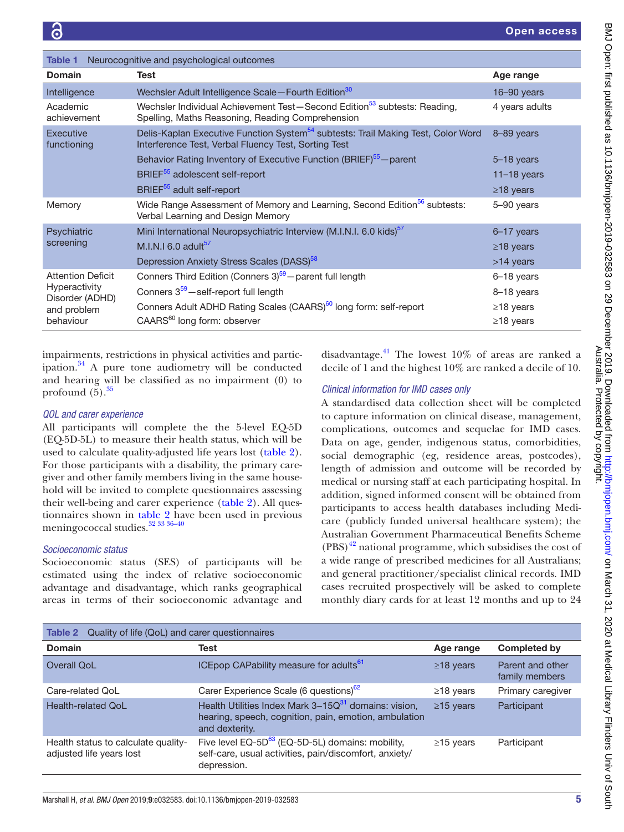<span id="page-4-0"></span>

| Neurocognitive and psychological outcomes<br><b>Table 1</b>                              |                                                                                                                                                      |                 |  |  |
|------------------------------------------------------------------------------------------|------------------------------------------------------------------------------------------------------------------------------------------------------|-----------------|--|--|
| <b>Domain</b>                                                                            | <b>Test</b>                                                                                                                                          | Age range       |  |  |
| Intelligence                                                                             | Wechsler Adult Intelligence Scale-Fourth Edition <sup>30</sup>                                                                                       | $16 - 90$ years |  |  |
| Academic<br>achievement                                                                  | Wechsler Individual Achievement Test-Second Edition <sup>53</sup> subtests: Reading,<br>Spelling, Maths Reasoning, Reading Comprehension             | 4 years adults  |  |  |
| Executive<br>functioning                                                                 | Delis-Kaplan Executive Function System <sup>54</sup> subtests: Trail Making Test, Color Word<br>Interference Test, Verbal Fluency Test, Sorting Test | 8-89 years      |  |  |
|                                                                                          | Behavior Rating Inventory of Executive Function (BRIEF) <sup>55</sup> - parent                                                                       | 5-18 years      |  |  |
|                                                                                          | BRIEF <sup>55</sup> adolescent self-report                                                                                                           | $11-18$ years   |  |  |
|                                                                                          | BRIEF <sup>55</sup> adult self-report                                                                                                                | $\ge$ 18 years  |  |  |
| Memory                                                                                   | Wide Range Assessment of Memory and Learning, Second Edition <sup>56</sup> subtests:<br>Verbal Learning and Design Memory                            | 5-90 years      |  |  |
| Psychiatric<br>screening                                                                 | Mini International Neuropsychiatric Interview (M.I.N.I. 6.0 kids) <sup>57</sup>                                                                      | 6-17 years      |  |  |
|                                                                                          | M.I.N.I 6.0 adult <sup>57</sup>                                                                                                                      | $\ge$ 18 years  |  |  |
|                                                                                          | Depression Anxiety Stress Scales (DASS) <sup>58</sup>                                                                                                | >14 years       |  |  |
| <b>Attention Deficit</b><br>Hyperactivity<br>Disorder (ADHD)<br>and problem<br>behaviour | Conners Third Edition (Conners 3) <sup>59</sup> – parent full length                                                                                 | 6-18 years      |  |  |
|                                                                                          | Conners 3 <sup>59</sup> -self-report full length                                                                                                     | 8-18 years      |  |  |
|                                                                                          | Conners Adult ADHD Rating Scales (CAARS) <sup>60</sup> long form: self-report                                                                        | $\geq$ 18 years |  |  |
|                                                                                          | CAARS <sup>60</sup> long form: observer                                                                                                              | $\geq$ 18 years |  |  |
|                                                                                          |                                                                                                                                                      |                 |  |  |

impairments, restrictions in physical activities and participation[.34](#page-8-26) A pure tone audiometry will be conducted and hearing will be classified as no impairment (0) to profound  $(5).$ <sup>35</sup>

### *QOL and carer experience*

All participants will complete the the 5-level EQ-5D (EQ-5D-5L) to measure their health status, which will be used to calculate quality-adjusted life years lost ([table](#page-4-1) 2). For those participants with a disability, the primary caregiver and other family members living in the same household will be invited to complete questionnaires assessing their well-being and carer experience ([table](#page-4-1) 2). All questionnaires shown in [table](#page-4-1) 2 have been used in previous meningococcal studies.<sup>32</sup> 33 36-40</sup>

## *Socioeconomic status*

Socioeconomic status (SES) of participants will be estimated using the index of relative socioeconomic advantage and disadvantage, which ranks geographical areas in terms of their socioeconomic advantage and disadvantage.<sup>41</sup> The lowest  $10\%$  of areas are ranked a decile of 1 and the highest 10% are ranked a decile of 10.

## *Clinical information for IMD cases only*

A standardised data collection sheet will be completed to capture information on clinical disease, management, complications, outcomes and sequelae for IMD cases. Data on age, gender, indigenous status, comorbidities, social demographic (eg, residence areas, postcodes), length of admission and outcome will be recorded by medical or nursing staff at each participating hospital. In addition, signed informed consent will be obtained from participants to access health databases including Medicare (publicly funded universal healthcare system); the Australian Government Pharmaceutical Benefits Scheme  $(PBS)^{42}$  national programme, which subsidises the cost of a wide range of prescribed medicines for all Australians; and general practitioner/specialist clinical records. IMD cases recruited prospectively will be asked to complete monthly diary cards for at least 12 months and up to 24

<span id="page-4-1"></span>

| Quality of life (QoL) and carer questionnaires<br>Table 2       |                                                                                                                                             |                 |                                    |  |  |
|-----------------------------------------------------------------|---------------------------------------------------------------------------------------------------------------------------------------------|-----------------|------------------------------------|--|--|
| <b>Domain</b>                                                   | <b>Test</b>                                                                                                                                 | Age range       | <b>Completed by</b>                |  |  |
| Overall OoL                                                     | ICEpop CAPability measure for adults <sup>61</sup>                                                                                          | $\geq$ 18 years | Parent and other<br>family members |  |  |
| Care-related OoL                                                | Carer Experience Scale (6 questions) <sup>62</sup>                                                                                          | $\geq$ 18 years | Primary caregiver                  |  |  |
| <b>Health-related QoL</b>                                       | Health Utilities Index Mark 3-15Q <sup>31</sup> domains: vision,<br>hearing, speech, cognition, pain, emotion, ambulation<br>and dexterity. | $\geq$ 15 years | Participant                        |  |  |
| Health status to calculate quality-<br>adjusted life years lost | Five level EQ-5D <sup>63</sup> (EQ-5D-5L) domains: mobility,<br>self-care, usual activities, pain/discomfort, anxiety/<br>depression.       | $\geq$ 15 years | Participant                        |  |  |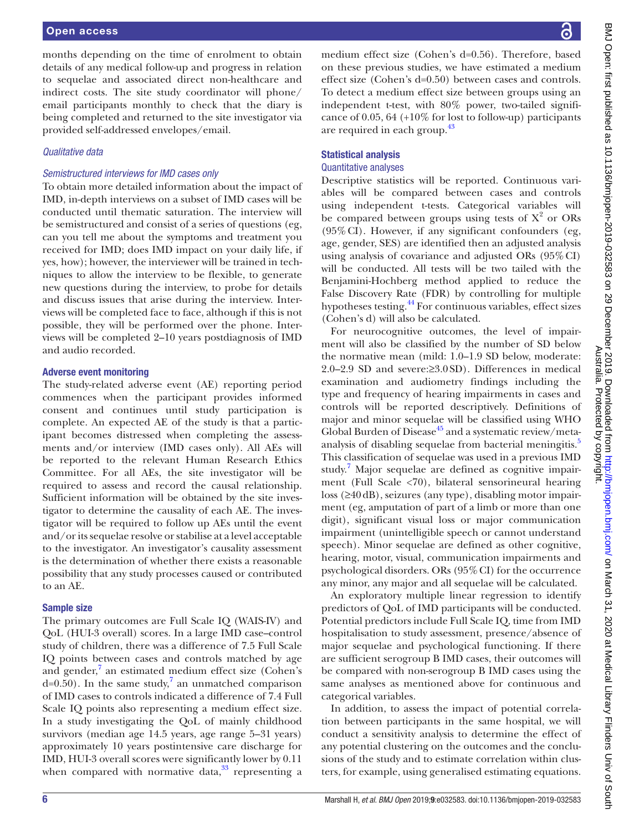months depending on the time of enrolment to obtain details of any medical follow-up and progress in relation to sequelae and associated direct non-healthcare and indirect costs. The site study coordinator will phone/ email participants monthly to check that the diary is being completed and returned to the site investigator via provided self-addressed envelopes/email.

#### *Qualitative data*

#### *Semistructured interviews for IMD cases only*

To obtain more detailed information about the impact of IMD, in-depth interviews on a subset of IMD cases will be conducted until thematic saturation. The interview will be semistructured and consist of a series of questions (eg, can you tell me about the symptoms and treatment you received for IMD; does IMD impact on your daily life, if yes, how); however, the interviewer will be trained in techniques to allow the interview to be flexible, to generate new questions during the interview, to probe for details and discuss issues that arise during the interview. Interviews will be completed face to face, although if this is not possible, they will be performed over the phone. Interviews will be completed 2–10 years postdiagnosis of IMD and audio recorded.

## Adverse event monitoring

The study-related adverse event (AE) reporting period commences when the participant provides informed consent and continues until study participation is complete. An expected AE of the study is that a participant becomes distressed when completing the assessments and/or interview (IMD cases only). All AEs will be reported to the relevant Human Research Ethics Committee. For all AEs, the site investigator will be required to assess and record the causal relationship. Sufficient information will be obtained by the site investigator to determine the causality of each AE. The investigator will be required to follow up AEs until the event and/or its sequelae resolve or stabilise at a level acceptable to the investigator. An investigator's causality assessment is the determination of whether there exists a reasonable possibility that any study processes caused or contributed to an AE.

#### Sample size

The primary outcomes are Full Scale IQ (WAIS-IV) and QoL (HUI-3 overall) scores. In a large IMD case–control study of children, there was a difference of 7.5 Full Scale IQ points between cases and controls matched by age and gender,<sup>[7](#page-8-5)</sup> an estimated medium effect size (Cohen's  $d=0.50$ ). In the same study,<sup>[7](#page-8-5)</sup> an unmatched comparison of IMD cases to controls indicated a difference of 7.4 Full Scale IQ points also representing a medium effect size. In a study investigating the QoL of mainly childhood survivors (median age 14.5 years, age range 5–31 years) approximately 10 years postintensive care discharge for IMD, HUI-3 overall scores were significantly lower by 0.11 when compared with normative data, $33$  representing a

medium effect size (Cohen's d=0.56). Therefore, based on these previous studies, we have estimated a medium effect size (Cohen's d=0.50) between cases and controls. To detect a medium effect size between groups using an independent t-test, with 80% power, two-tailed significance of 0.05, 64 (+10% for lost to follow-up) participants are required in each group.<sup>43</sup>

## Statistical analysis

## Quantitative analyses

Descriptive statistics will be reported. Continuous variables will be compared between cases and controls using independent t-tests. Categorical variables will be compared between groups using tests of  $X^2$  or ORs (95%CI). However, if any significant confounders (eg, age, gender, SES) are identified then an adjusted analysis using analysis of covariance and adjusted ORs (95%CI) will be conducted. All tests will be two tailed with the Benjamini-Hochberg method applied to reduce the False Discovery Rate (FDR) by controlling for multiple hypotheses testing.[44](#page-9-11) For continuous variables, effect sizes (Cohen's d) will also be calculated.

For neurocognitive outcomes, the level of impairment will also be classified by the number of SD below the normative mean (mild: 1.0–1.9 SD below, moderate: 2.0–2.9 SD and severe:≥3.0SD). Differences in medical examination and audiometry findings including the type and frequency of hearing impairments in cases and controls will be reported descriptively. Definitions of major and minor sequelae will be classified using WHO Global Burden of Disease<sup>45</sup> and a systematic review/meta-analysis of disabling sequelae from bacterial meningitis.<sup>[5](#page-8-3)</sup> This classification of sequelae was used in a previous IMD study.<sup>[7](#page-8-5)</sup> Major sequelae are defined as cognitive impairment (Full Scale <70), bilateral sensorineural hearing loss (≥40dB), seizures (any type), disabling motor impairment (eg, amputation of part of a limb or more than one digit), significant visual loss or major communication impairment (unintelligible speech or cannot understand speech). Minor sequelae are defined as other cognitive, hearing, motor, visual, communication impairments and psychological disorders. ORs (95%CI) for the occurrence any minor, any major and all sequelae will be calculated.

An exploratory multiple linear regression to identify predictors of QoL of IMD participants will be conducted. Potential predictors include Full Scale IQ, time from IMD hospitalisation to study assessment, presence/absence of major sequelae and psychological functioning. If there are sufficient serogroup B IMD cases, their outcomes will be compared with non-serogroup B IMD cases using the same analyses as mentioned above for continuous and categorical variables.

In addition, to assess the impact of potential correlation between participants in the same hospital, we will conduct a sensitivity analysis to determine the effect of any potential clustering on the outcomes and the conclusions of the study and to estimate correlation within clusters, for example, using generalised estimating equations.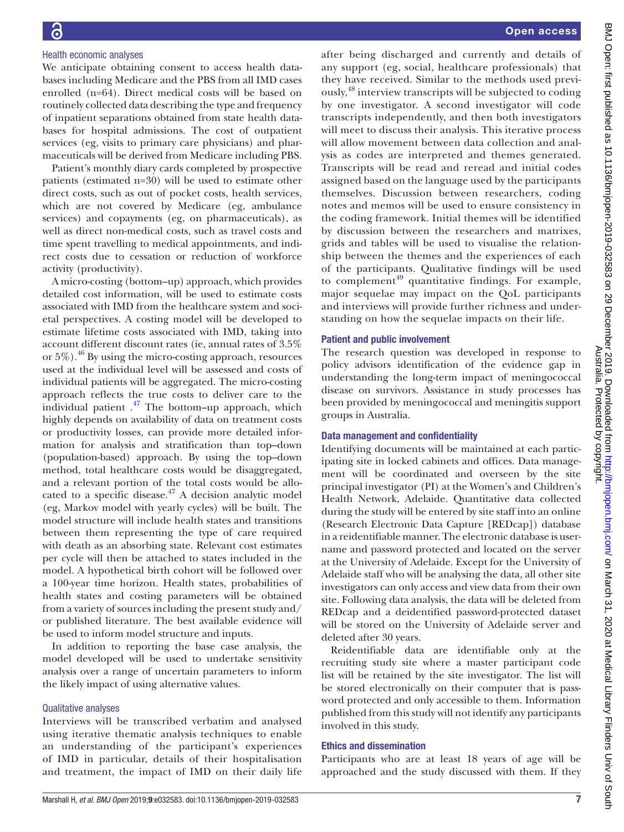#### Health economic analyses

We anticipate obtaining consent to access health databases including Medicare and the PBS from all IMD cases enrolled (n=64). Direct medical costs will be based on routinely collected data describing the type and frequency of inpatient separations obtained from state health databases for hospital admissions. The cost of outpatient services (eg, visits to primary care physicians) and pharmaceuticals will be derived from Medicare including PBS.

Patient's monthly diary cards completed by prospective patients (estimated n=30) will be used to estimate other direct costs, such as out of pocket costs, health services, which are not covered by Medicare (eg, ambulance services) and copayments (eg, on pharmaceuticals), as well as direct non-medical costs, such as travel costs and time spent travelling to medical appointments, and indirect costs due to cessation or reduction of workforce activity (productivity).

A micro-costing (bottom–up) approach, which provides detailed cost information, will be used to estimate costs associated with IMD from the healthcare system and societal perspectives. A costing model will be developed to estimate lifetime costs associated with IMD, taking into account different discount rates (ie, annual rates of 3.5% or  $5\%$ ).<sup>46</sup> By using the micro-costing approach, resources used at the individual level will be assessed and costs of individual patients will be aggregated. The micro-costing approach reflects the true costs to deliver care to the individual patient  $.47$  The bottom–up approach, which highly depends on availability of data on treatment costs or productivity losses, can provide more detailed information for analysis and stratification than top–down (population-based) approach. By using the top–down method, total healthcare costs would be disaggregated, and a relevant portion of the total costs would be allocated to a specific disease. $47$  A decision analytic model (eg, Markov model with yearly cycles) will be built. The model structure will include health states and transitions between them representing the type of care required with death as an absorbing state. Relevant cost estimates per cycle will then be attached to states included in the model. A hypothetical birth cohort will be followed over a 100-year time horizon. Health states, probabilities of health states and costing parameters will be obtained from a variety of sources including the present study and/ or published literature. The best available evidence will be used to inform model structure and inputs.

In addition to reporting the base case analysis, the model developed will be used to undertake sensitivity analysis over a range of uncertain parameters to inform the likely impact of using alternative values.

#### Qualitative analyses

Interviews will be transcribed verbatim and analysed using iterative thematic analysis techniques to enable an understanding of the participant's experiences of IMD in particular, details of their hospitalisation and treatment, the impact of IMD on their daily life

after being discharged and currently and details of any support (eg, social, healthcare professionals) that they have received. Similar to the methods used previ-ously,<sup>[48](#page-9-15)</sup> interview transcripts will be subjected to coding by one investigator. A second investigator will code transcripts independently, and then both investigators will meet to discuss their analysis. This iterative process will allow movement between data collection and analysis as codes are interpreted and themes generated. Transcripts will be read and reread and initial codes assigned based on the language used by the participants themselves. Discussion between researchers, coding notes and memos will be used to ensure consistency in the coding framework. Initial themes will be identified by discussion between the researchers and matrixes, grids and tables will be used to visualise the relationship between the themes and the experiences of each of the participants. Qualitative findings will be used to complement<sup>[49](#page-9-16)</sup> quantitative findings. For example, major sequelae may impact on the QoL participants and interviews will provide further richness and understanding on how the sequelae impacts on their life.

#### Patient and public involvement

The research question was developed in response to policy advisors identification of the evidence gap in understanding the long-term impact of meningococcal disease on survivors. Assistance in study processes has been provided by meningococcal and meningitis support groups in Australia.

#### Data management and confidentiality

Identifying documents will be maintained at each participating site in locked cabinets and offices. Data management will be coordinated and overseen by the site principal investigator (PI) at the Women's and Children's Health Network, Adelaide. Quantitative data collected during the study will be entered by site staff into an online (Research Electronic Data Capture [REDcap]) database in a reidentifiable manner. The electronic database is username and password protected and located on the server at the University of Adelaide. Except for the University of Adelaide staff who will be analysing the data, all other site investigators can only access and view data from their own site. Following data analysis, the data will be deleted from REDcap and a deidentified password-protected dataset will be stored on the University of Adelaide server and deleted after 30 years.

Reidentifiable data are identifiable only at the recruiting study site where a master participant code list will be retained by the site investigator. The list will be stored electronically on their computer that is password protected and only accessible to them. Information published from this study will not identify any participants involved in this study.

#### Ethics and dissemination

Participants who are at least 18 years of age will be approached and the study discussed with them. If they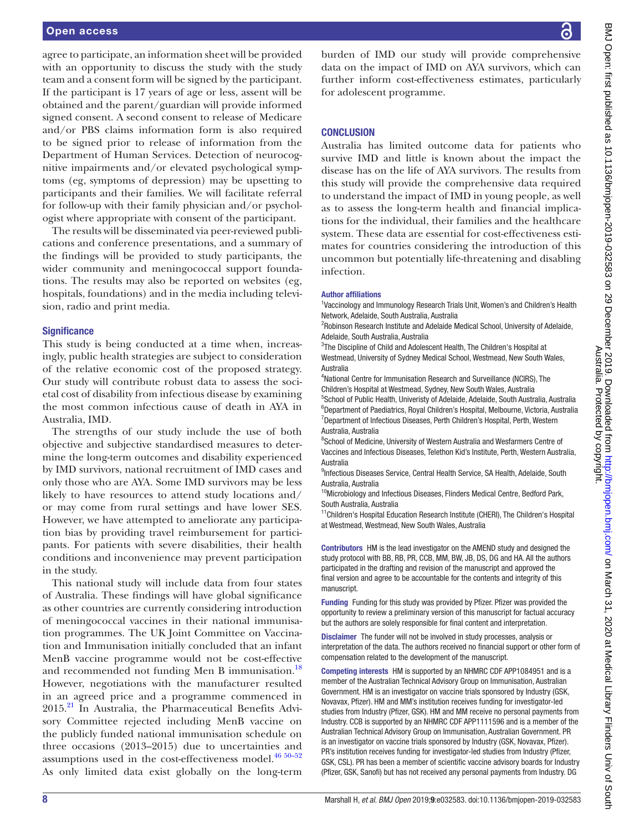#### Open access

agree to participate, an information sheet will be provided with an opportunity to discuss the study with the study team and a consent form will be signed by the participant. If the participant is 17 years of age or less, assent will be obtained and the parent/guardian will provide informed signed consent. A second consent to release of Medicare and/or PBS claims information form is also required to be signed prior to release of information from the Department of Human Services. Detection of neurocognitive impairments and/or elevated psychological symptoms (eg, symptoms of depression) may be upsetting to participants and their families. We will facilitate referral for follow-up with their family physician and/or psychologist where appropriate with consent of the participant.

The results will be disseminated via peer-reviewed publications and conference presentations, and a summary of the findings will be provided to study participants, the wider community and meningococcal support foundations. The results may also be reported on websites (eg, hospitals, foundations) and in the media including television, radio and print media.

#### **Significance**

This study is being conducted at a time when, increasingly, public health strategies are subject to consideration of the relative economic cost of the proposed strategy. Our study will contribute robust data to assess the societal cost of disability from infectious disease by examining the most common infectious cause of death in AYA in Australia, IMD.

The strengths of our study include the use of both objective and subjective standardised measures to determine the long-term outcomes and disability experienced by IMD survivors, national recruitment of IMD cases and only those who are AYA. Some IMD survivors may be less likely to have resources to attend study locations and/ or may come from rural settings and have lower SES. However, we have attempted to ameliorate any participation bias by providing travel reimbursement for participants. For patients with severe disabilities, their health conditions and inconvenience may prevent participation in the study.

This national study will include data from four states of Australia. These findings will have global significance as other countries are currently considering introduction of meningococcal vaccines in their national immunisation programmes. The UK Joint Committee on Vaccination and Immunisation initially concluded that an infant MenB vaccine programme would not be cost-effective and recommended not funding Men B immunisation.<sup>18</sup> However, negotiations with the manufacturer resulted in an agreed price and a programme commenced in 2015.[21](#page-8-15) In Australia, the Pharmaceutical Benefits Advisory Committee rejected including MenB vaccine on the publicly funded national immunisation schedule on three occasions (2013–2015) due to uncertainties and assumptions used in the cost-effectiveness model.<sup>46 50-52</sup> As only limited data exist globally on the long-term

burden of IMD our study will provide comprehensive data on the impact of IMD on AYA survivors, which can further inform cost-effectiveness estimates, particularly for adolescent programme.

#### **CONCLUSION**

Australia has limited outcome data for patients who survive IMD and little is known about the impact the disease has on the life of AYA survivors. The results from this study will provide the comprehensive data required to understand the impact of IMD in young people, as well as to assess the long-term health and financial implications for the individual, their families and the healthcare system. These data are essential for cost-effectiveness estimates for countries considering the introduction of this uncommon but potentially life-threatening and disabling infection.

#### Author affiliations

<sup>1</sup>Vaccinology and Immunology Research Trials Unit, Women's and Children's Health Network, Adelaide, South Australia, Australia

<sup>2</sup>Robinson Research Institute and Adelaide Medical School, University of Adelaide, Adelaide, South Australia, Australia

<sup>3</sup>The Discipline of Child and Adolescent Health, The Children's Hospital at Westmead, University of Sydney Medical School, Westmead, New South Wales, Australia

4 National Centre for Immunisation Research and Surveillance (NCIRS), The Children's Hospital at Westmead, Sydney, New South Wales, Australia <sup>5</sup>School of Public Health, Univeristy of Adelaide, Adelaide, South Australia, Australia <sup>6</sup>Department of Paediatrics, Royal Children's Hospital, Melbourne, Victoria, Australia <sup>7</sup>Department of Infectious Diseases, Perth Children's Hospital, Perth, Western Australia, Australia

<sup>8</sup>School of Medicine, University of Western Australia and Wesfarmers Centre of Vaccines and Infectious Diseases, Telethon Kid's Institute, Perth, Western Australia, Australia

<sup>9</sup>Infectious Diseases Service, Central Health Service, SA Health, Adelaide, South Australia, Australia

<sup>10</sup>Microbiology and Infectious Diseases, Flinders Medical Centre, Bedford Park, South Australia, Australia

 $11$ Children's Hospital Education Research Institute (CHERI), The Children's Hospital at Westmead, Westmead, New South Wales, Australia

Contributors HM is the lead investigator on the AMEND study and designed the study protocol with BB, RB, PR, CCB, MM, BW, JB, DS, DG and HA. All the authors participated in the drafting and revision of the manuscript and approved the final version and agree to be accountable for the contents and integrity of this manuscript.

Funding Funding for this study was provided by Pfizer. Pfizer was provided the opportunity to review a preliminary version of this manuscript for factual accuracy but the authors are solely responsible for final content and interpretation.

Disclaimer The funder will not be involved in study processes, analysis or interpretation of the data. The authors received no financial support or other form of compensation related to the development of the manuscript.

Competing interests HM is supported by an NHMRC CDF APP1084951 and is a member of the Australian Technical Advisory Group on Immunisation, Australian Government. HM is an investigator on vaccine trials sponsored by Industry (GSK, Novavax, Pfizer). HM and MM's institution receives funding for investigator-led studies from Industry (Pfizer, GSK). HM and MM receive no personal payments from Industry. CCB is supported by an NHMRC CDF APP1111596 and is a member of the Australian Technical Advisory Group on Immunisation, Australian Government. PR is an investigator on vaccine trials sponsored by Industry (GSK, Novavax, Pfizer). PR's institution receives funding for investigator-led studies from Industry (Pfizer, GSK, CSL). PR has been a member of scientific vaccine advisory boards for Industry (Pfizer, GSK, Sanofi) but has not received any personal payments from Industry. DG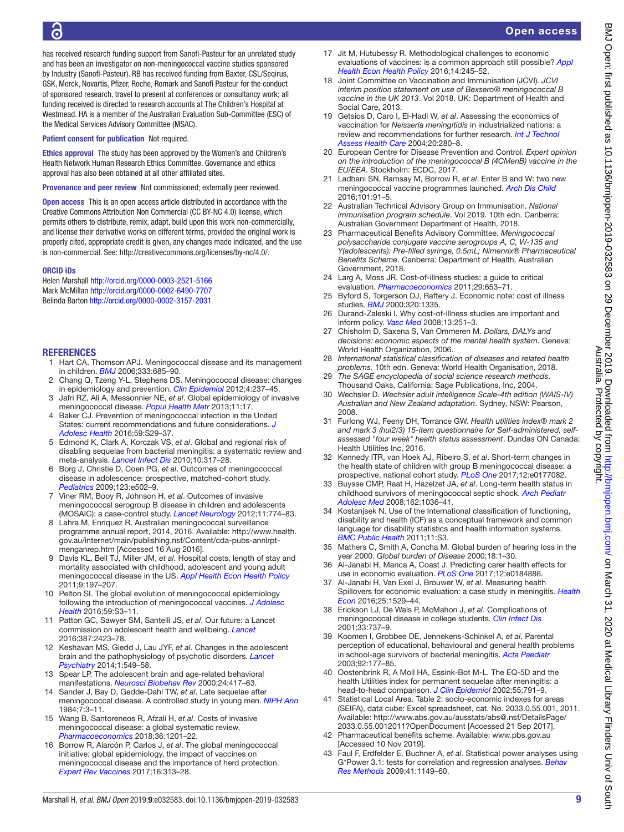has received research funding support from Sanofi-Pasteur for an unrelated study and has been an investigator on non-meningococcal vaccine studies sponsored by Industry (Sanofi-Pasteur). RB has received funding from Baxter, CSL/Seqirus, GSK, Merck, Novartis, Pfizer, Roche, Romark and Sanofi Pasteur for the conduct of sponsored research, travel to present at conferences or consultancy work; all funding received is directed to research accounts at The Children's Hospital at Westmead. HA is a member of the Australian Evaluation Sub-Committee (ESC) of the Medical Services Advisory Committee (MSAC).

Patient consent for publication Not required.

Ethics approval The study has been approved by the Women's and Children's Health Network Human Research Ethics Committee. Governance and ethics approval has also been obtained at all other affiliated sites.

Provenance and peer review Not commissioned; externally peer reviewed.

Open access This is an open access article distributed in accordance with the Creative Commons Attribution Non Commercial (CC BY-NC 4.0) license, which permits others to distribute, remix, adapt, build upon this work non-commercially, and license their derivative works on different terms, provided the original work is properly cited, appropriate credit is given, any changes made indicated, and the use is non-commercial. See: [http://creativecommons.org/licenses/by-nc/4.0/.](http://creativecommons.org/licenses/by-nc/4.0/)

#### ORCID iDs

Helen Marshall<http://orcid.org/0000-0003-2521-5166> Mark McMillan<http://orcid.org/0000-0002-6490-7707> Belinda Barton <http://orcid.org/0000-0002-3157-2031>

#### **REFERENCES**

- <span id="page-8-0"></span>1 Hart CA, Thomson APJ. Meningococcal disease and its management in children. *[BMJ](http://dx.doi.org/10.1136/bmj.38968.683958.AE)* 2006;333:685–90.
- <span id="page-8-1"></span>2 Chang Q, Tzeng Y-L, Stephens DS. Meningococcal disease: changes in epidemiology and prevention. *[Clin Epidemiol](http://dx.doi.org/10.2147/CLEP.S28410)* 2012;4:237–45.
- 3 Jafri RZ, Ali A, Messonnier NE, *et al*. Global epidemiology of invasive meningococcal disease. *[Popul Health Metr](http://dx.doi.org/10.1186/1478-7954-11-17)* 2013;11:17.
- <span id="page-8-2"></span>4 Baker CJ. Prevention of meningococcal infection in the United States: current recommendations and future considerations. *[J](http://dx.doi.org/10.1016/j.jadohealth.2016.03.040)  [Adolesc Health](http://dx.doi.org/10.1016/j.jadohealth.2016.03.040)* 2016;59:S29–37.
- <span id="page-8-3"></span>5 Edmond K, Clark A, Korczak VS, *et al*. Global and regional risk of disabling sequelae from bacterial meningitis: a systematic review and meta-analysis. *[Lancet Infect Dis](http://dx.doi.org/10.1016/S1473-3099(10)70048-7)* 2010;10:317–28.
- <span id="page-8-4"></span>6 Borg J, Christie D, Coen PG, *et al*. Outcomes of meningococcal disease in adolescence: prospective, matched-cohort study. *[Pediatrics](http://dx.doi.org/10.1542/peds.2008-0581)* 2009;123:e502–9.
- <span id="page-8-5"></span>7 Viner RM, Booy R, Johnson H, *et al*. Outcomes of invasive meningococcal serogroup B disease in children and adolescents (MOSAIC): a case-control study. *[Lancet Neurology](http://dx.doi.org/10.1016/S1474-4422(12)70180-1)* 2012;11:774–83.
- <span id="page-8-6"></span>8 Lahra M, Enriquez R. Australian meningococcal surveillance programme annual report, 2014, 2016. Available: [http://www.health.](http://www.health.gov.au/internet/main/publishing.nsf/Content/cda-pubs-annlrpt-menganrep.htm) [gov.au/internet/main/publishing.nsf/Content/cda-pubs-annlrpt](http://www.health.gov.au/internet/main/publishing.nsf/Content/cda-pubs-annlrpt-menganrep.htm)[menganrep.htm](http://www.health.gov.au/internet/main/publishing.nsf/Content/cda-pubs-annlrpt-menganrep.htm) [Accessed 16 Aug 2016].
- 9 Davis KL, Bell TJ, Miller JM, *et al*. Hospital costs, length of stay and mortality associated with childhood, adolescent and young adult meningococcal disease in the US. *[Appl Health Econ Health Policy](http://dx.doi.org/10.2165/11587330-000000000-00000)* 2011;9:197–207.
- 10 Pelton SI. The global evolution of meningococcal epidemiology following the introduction of meningococcal vaccines. *[J Adolesc](http://dx.doi.org/10.1016/j.jadohealth.2016.04.012)  [Health](http://dx.doi.org/10.1016/j.jadohealth.2016.04.012)* 2016;59:S3–11.
- <span id="page-8-7"></span>11 Patton GC, Sawyer SM, Santelli JS, *et al*. Our future: a Lancet commission on adolescent health and wellbeing. *[Lancet](http://dx.doi.org/10.1016/S0140-6736(16)00579-1)* 2016;387:2423–78.
- <span id="page-8-8"></span>12 Keshavan MS, Giedd J, Lau JYF, *et al*. Changes in the adolescent brain and the pathophysiology of psychotic disorders. *[Lancet](http://dx.doi.org/10.1016/S2215-0366(14)00081-9)  [Psychiatry](http://dx.doi.org/10.1016/S2215-0366(14)00081-9)* 2014;1:549–58.
- 13 Spear LP. The adolescent brain and age-related behavioral manifestations. *[Neurosci Biobehav Rev](http://dx.doi.org/10.1016/S0149-7634(00)00014-2)* 2000;24:417–63.
- <span id="page-8-9"></span>14 Sander J, Bay D, Gedde-Dahl TW, *et al*. Late sequelae after meningococcal disease. A controlled study in young men. *[NIPH Ann](http://www.ncbi.nlm.nih.gov/pubmed/6493582)* 1984;7:3–11.
- <span id="page-8-10"></span>15 Wang B, Santoreneos R, Afzali H, *et al*. Costs of invasive meningococcal disease: a global systematic review. *[Pharmacoeconomics](http://dx.doi.org/10.1007/s40273-018-0679-5)* 2018;36:1201–22.
- <span id="page-8-11"></span>16 Borrow R, Alarcón P, Carlos J, *et al*. The global meningococcal initiative: global epidemiology, the impact of vaccines on meningococcal disease and the importance of herd protection. *[Expert Rev Vaccines](http://dx.doi.org/10.1080/14760584.2017.1258308)* 2017;16:313–28.
- <span id="page-8-12"></span>17 Jit M, Hutubessy R. Methodological challenges to economic evaluations of vaccines: is a common approach still possible? *[Appl](http://dx.doi.org/10.1007/s40258-016-0224-7)  [Health Econ Health Policy](http://dx.doi.org/10.1007/s40258-016-0224-7)* 2016;14:245–52.
- <span id="page-8-31"></span>18 Joint Committee on Vaccination and Immunisation (JCVI). *JCVI interim position statement on use of Bexsero® meningococcal B vaccine in the UK 2013*. Vol 2018. UK: Department of Health and Social Care, 2013.
- <span id="page-8-13"></span>19 Getsios D, Caro I, El-Hadi W, *et al*. Assessing the economics of vaccination for *Neisseria meningitidis* in industrialized nations: a review and recommendations for further research. *[Int J Technol](http://dx.doi.org/10.1017/S0266462304001096)  [Assess Health Care](http://dx.doi.org/10.1017/S0266462304001096)* 2004;20:280–8.
- <span id="page-8-14"></span>20 European Centre for Disease Prevention and Control. *Expert opinion on the introduction of the meningococcal B (4CMenB) vaccine in the EU/EEA*. Stockholm: ECDC, 2017.
- <span id="page-8-15"></span>21 Ladhani SN, Ramsay M, Borrow R, *et al*. Enter B and W: two new meningococcal vaccine programmes launched. *[Arch Dis Child](http://dx.doi.org/10.1136/archdischild-2015-308928)* 2016;101:91–5.
- <span id="page-8-16"></span>22 Australian Technical Advisory Group on Immunisation. *National immunisation program schedule*. Vol 2019. 10th edn. Canberra: Australian Government Department of Health, 2018.
- <span id="page-8-17"></span>23 Pharmaceutical Benefits Advisory Committee. *Meningococcal polysaccharide conjugate vaccine serogroups A, C, W-135 and Y(adolescents): Pre-filled syringe, 0.5mL; Nimenrix® Pharmaceutical Benefits Scheme*. Canberra: Department of Health, Australian Government, 2018.
- <span id="page-8-18"></span>24 Larg A, Moss JR. Cost-of-illness studies: a guide to critical evaluation. *[Pharmacoeconomics](http://dx.doi.org/10.2165/11588380-000000000-00000)* 2011;29:653–71.
- <span id="page-8-19"></span>25 Byford S, Torgerson DJ, Raftery J. Economic note: cost of illness studies. *[BMJ](http://dx.doi.org/10.1136/bmj.320.7245.1335)* 2000;320:1335.
- 26 Durand-Zaleski I. Why cost-of-illness studies are important and inform policy. *[Vasc Med](http://dx.doi.org/10.1177/1358863X08091738)* 2008;13:251–3.
- 27 Chisholm D, Saxena S, Van Ommeren M. *Dollars, DALYs and decisions: economic aspects of the mental health system*. Geneva: World Health Organization, 2006.
- <span id="page-8-20"></span>28 *International statistical classification of diseases and related health problems*. 10th edn. Geneva: World Health Organisation, 2018.
- <span id="page-8-21"></span>29 *The SAGE encyclopedia of social science research methods*. Thousand Oaks, California: Sage Publications, Inc, 2004.
- <span id="page-8-22"></span>30 Wechsler D. *Wechsler adult intelligence Scale-4th edition (WAIS-IV) Australian and New Zealand adaptation*. Sydney, NSW: Pearson, 2008.
- <span id="page-8-23"></span>31 Furlong WJ, Feeny DH, Torrance GW. *Health utilities index® mark 2 and mark 3 (hui2/3) 15-item questionnaire for Self-administered, selfassessed "four week" health status assessment*. Dundas ON Canada: Health Utilities Inc, 2016.
- <span id="page-8-24"></span>32 Kennedy ITR, van Hoek AJ, Ribeiro S, *et al*. Short-term changes in the health state of children with group B meningococcal disease: a prospective, national cohort study. *[PLoS One](http://dx.doi.org/10.1371/journal.pone.0177082)* 2017;12:e0177082.
- <span id="page-8-25"></span>33 Buysse CMP, Raat H, Hazelzet JA, *et al*. Long-term health status in childhood survivors of meningococcal septic shock. *[Arch Pediatr](http://dx.doi.org/10.1001/archpedi.162.11.1036)  [Adolesc Med](http://dx.doi.org/10.1001/archpedi.162.11.1036)* 2008;162:1036–41.
- <span id="page-8-26"></span>34 Kostanjsek N. Use of the International classification of functioning, disability and health (ICF) as a conceptual framework and common language for disability statistics and health information systems. *[BMC Public Health](http://dx.doi.org/10.1186/1471-2458-11-S4-S3)* 2011;11:S3.
- <span id="page-8-27"></span>35 Mathers C, Smith A, Concha M. Global burden of hearing loss in the year 2000. *Global burden of Disease* 2000;18:1–30.
- 36 Al-Janabi H, Manca A, Coast J. Predicting carer health effects for use in economic evaluation. *[PLoS One](http://dx.doi.org/10.1371/journal.pone.0184886)* 2017;12:e0184886.
- 37 Al-Janabi H, Van Exel J, Brouwer W, *et al*. Measuring health Spillovers for economic evaluation: a case study in meningitis. *[Health](http://dx.doi.org/10.1002/hec.3259)  [Econ](http://dx.doi.org/10.1002/hec.3259)* 2016;25:1529–44.
- 38 Erickson LJ, De Wals P, McMahon J, *et al*. Complications of meningococcal disease in college students. *[Clin Infect Dis](http://dx.doi.org/10.1086/322587)* 2001;33:737–9.
- 39 Koomen I, Grobbee DE, Jennekens-Schinkel A, *et al*. Parental perception of educational, behavioural and general health problems in school-age survivors of bacterial meningitis. *[Acta Paediatr](http://dx.doi.org/10.1111/j.1651-2227.2003.tb00523.x)* 2003;92:177–85.
- 40 Oostenbrink R, A Moll HA, Essink-Bot M-L. The EQ-5D and the health Utilities index for permanent sequelae after meningitis: a head-to-head comparison. *[J Clin Epidemiol](http://dx.doi.org/10.1016/S0895-4356(02)00448-1)* 2002;55:791–9.
- <span id="page-8-28"></span>41 Statistical Local Area. Table 2: socio-economic indexes for areas (SEIFA), data cube: Excel spreadsheet, cat. No. 2033.0.55.001, 2011. Available: [http://www.abs.gov.au/ausstats/abs@.nsf/DetailsPage/](http://www.abs.gov.au/ausstats/abs@.nsf/DetailsPage/2033.0.55.0012011?OpenDocument) [2033.0.55.0012011?OpenDocument](http://www.abs.gov.au/ausstats/abs@.nsf/DetailsPage/2033.0.55.0012011?OpenDocument) [Accessed 21 Sep 2017].
- <span id="page-8-29"></span>42 Pharmaceutical benefits scheme. Available:<www.pbs.gov.au> [Accessed 10 Nov 2019].
- <span id="page-8-30"></span>43 Faul F, Erdfelder E, Buchner A, *et al*. Statistical power analyses using G\*Power 3.1: tests for correlation and regression analyses. *[Behav](http://dx.doi.org/10.3758/BRM.41.4.1149)  [Res Methods](http://dx.doi.org/10.3758/BRM.41.4.1149)* 2009;41:1149–60.